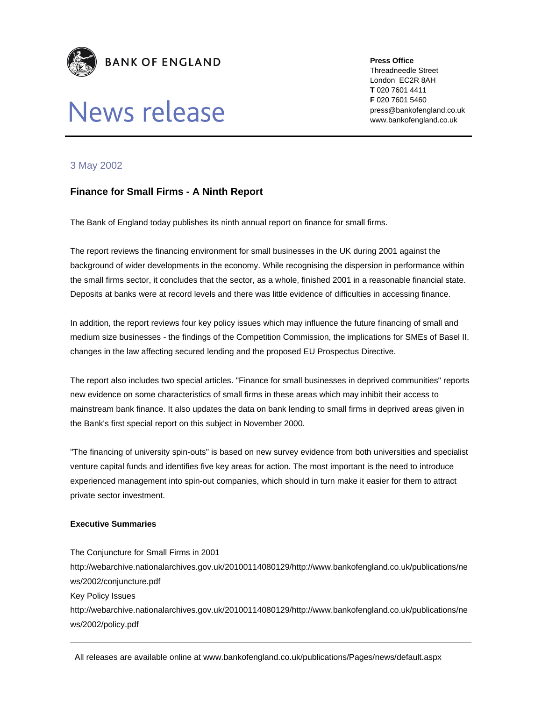

# News release

**Press Office** 

Threadneedle Street London EC2R 8AH **T** 020 7601 4411 **F** 020 7601 5460 press@bankofengland.co.uk www.bankofengland.co.uk

## 3 May 2002

## **Finance for Small Firms - A Ninth Report**

The Bank of England today publishes its ninth annual report on finance for small firms.

The report reviews the financing environment for small businesses in the UK during 2001 against the background of wider developments in the economy. While recognising the dispersion in performance within the small firms sector, it concludes that the sector, as a whole, finished 2001 in a reasonable financial state. Deposits at banks were at record levels and there was little evidence of difficulties in accessing finance.

In addition, the report reviews four key policy issues which may influence the future financing of small and medium size businesses - the findings of the Competition Commission, the implications for SMEs of Basel II, changes in the law affecting secured lending and the proposed EU Prospectus Directive.

The report also includes two special articles. "Finance for small businesses in deprived communities" reports new evidence on some characteristics of small firms in these areas which may inhibit their access to mainstream bank finance. It also updates the data on bank lending to small firms in deprived areas given in the Bank's first special report on this subject in November 2000.

"The financing of university spin-outs" is based on new survey evidence from both universities and specialist venture capital funds and identifies five key areas for action. The most important is the need to introduce experienced management into spin-out companies, which should in turn make it easier for them to attract private sector investment.

#### **Executive Summaries**

The Conjuncture for Small Firms in 2001

http://webarchive.nationalarchives.gov.uk/20100114080129/http://www.bankofengland.co.uk/publications/ne ws/2002/conjuncture.pdf

Key Policy Issues

http://webarchive.nationalarchives.gov.uk/20100114080129/http://www.bankofengland.co.uk/publications/ne ws/2002/policy.pdf

All releases are available online at www.bankofengland.co.uk/publications/Pages/news/default.aspx